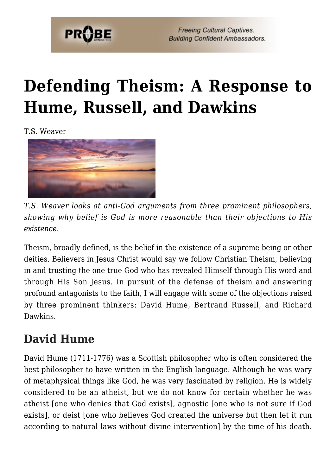

**Freeing Cultural Captives. Building Confident Ambassadors.** 

# **[Defending Theism: A Response to](https://probe.org/defending-theism-a-response-to-hume-russell-and-dawkins/) [Hume, Russell, and Dawkins](https://probe.org/defending-theism-a-response-to-hume-russell-and-dawkins/)**

T.S. Weaver



*T.S. Weaver looks at anti-God arguments from three prominent philosophers, showing why belief is God is more reasonable than their objections to His existence.*

Theism, broadly defined, is the belief in the existence of a supreme being or other deities. Believers in Jesus Christ would say we follow Christian Theism, believing in and trusting the one true God who has revealed Himself through His word and through His Son Jesus. In pursuit of the defense of theism and answering profound antagonists to the faith, I will engage with some of the objections raised by three prominent thinkers: David Hume, Bertrand Russell, and Richard Dawkins.

## **David Hume**

David Hume (1711-1776) was a Scottish philosopher who is often considered the best philosopher to have written in the English language. Although he was wary of metaphysical things like God, he was very fascinated by religion. He is widely considered to be an atheist, but we do not know for certain whether he was atheist [one who denies that God exists], agnostic [one who is not sure if God exists], or deist [one who believes God created the universe but then let it run according to natural laws without divine intervention] by the time of his death.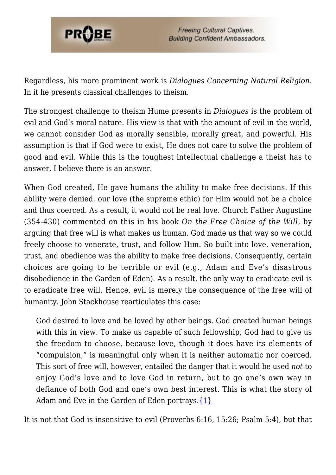

Regardless, his more prominent work is *Dialogues Concerning Natural Religion*. In it he presents classical challenges to theism.

The strongest challenge to theism Hume presents in *Dialogues* is the problem of evil and God's moral nature. His view is that with the amount of evil in the world, we cannot consider God as morally sensible, morally great, and powerful. His assumption is that if God were to exist, He does not care to solve the problem of good and evil. While this is the toughest intellectual challenge a theist has to answer, I believe there is an answer.

When God created, He gave humans the ability to make free decisions. If this ability were denied, our love (the supreme ethic) for Him would not be a choice and thus coerced. As a result, it would not be real love. Church Father Augustine (354-430) commented on this in his book *On the Free Choice of the Will*, by arguing that free will is what makes us human. God made us that way so we could freely choose to venerate, trust, and follow Him. So built into love, veneration, trust, and obedience was the ability to make free decisions. Consequently, certain choices are going to be terrible or evil (e.g., Adam and Eve's disastrous disobedience in the Garden of Eden). As a result, the only way to eradicate evil is to eradicate free will. Hence, evil is merely the consequence of the free will of humanity. John Stackhouse rearticulates this case:

God desired to love and be loved by other beings. God created human beings with this in view. To make us capable of such fellowship, God had to give us the freedom to choose, because love, though it does have its elements of "compulsion," is meaningful only when it is neither automatic nor coerced. This sort of free will, however, entailed the danger that it would be used *not* to enjoy God's love and to love God in return, but to go one's own way in defiance of both God and one's own best interest. This is what the story of Adam and Eve in the Garden of Eden portrays.  $\{1\}$ 

It is not that God is insensitive to evil (Proverbs 6:16, 15:26; Psalm 5:4), but that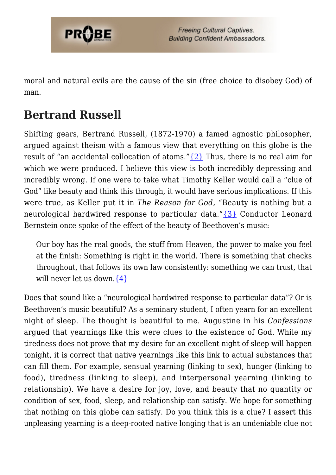

moral and natural evils are the cause of the sin (free choice to disobey God) of man.

### **Bertrand Russell**

Shifting gears, Bertrand Russell, (1872-1970) a famed agnostic philosopher, argued against theism with a famous view that everything on this globe is the result of "an accidental collocation of atoms." $\{2\}$  Thus, there is no real aim for which we were produced. I believe this view is both incredibly depressing and incredibly wrong. If one were to take what Timothy Keller would call a "clue of God" like beauty and think this through, it would have serious implications. If this were true, as Keller put it in *The Reason for God,* "Beauty is nothing but a neurological hardwired response to particular data."[{3}](#page-6-1) Conductor Leonard Bernstein once spoke of the effect of the beauty of Beethoven's music:

Our boy has the real goods, the stuff from Heaven, the power to make you feel at the finish: Something is right in the world. There is something that checks throughout, that follows its own law consistently: something we can trust, that will never let us down.  $\{4\}$ 

Does that sound like a "neurological hardwired response to particular data"? Or is Beethoven's music beautiful? As a seminary student, I often yearn for an excellent night of sleep. The thought is beautiful to me. Augustine in his *Confessions* argued that yearnings like this were clues to the existence of God. While my tiredness does not prove that my desire for an excellent night of sleep will happen tonight, it is correct that native yearnings like this link to actual substances that can fill them. For example, sensual yearning (linking to sex), hunger (linking to food), tiredness (linking to sleep), and interpersonal yearning (linking to relationship). We have a desire for joy, love, and beauty that no quantity or condition of sex, food, sleep, and relationship can satisfy. We hope for something that nothing on this globe can satisfy. Do you think this is a clue? I assert this unpleasing yearning is a deep-rooted native longing that is an undeniable clue not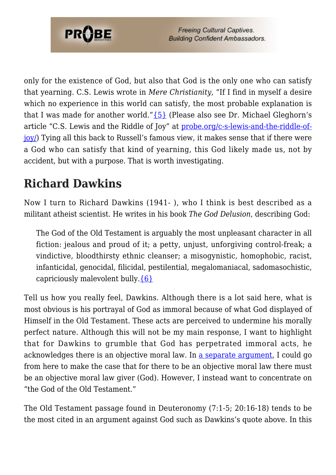

only for the existence of God, but also that God is the only one who can satisfy that yearning. C.S. Lewis wrote in *Mere Christianity,* "If I find in myself a desire which no experience in this world can satisfy, the most probable explanation is that I was made for another world." $\{5\}$  (Please also see Dr. Michael Gleghorn's article "C.S. Lewis and the Riddle of Joy" at [probe.org/c-s-lewis-and-the-riddle-of](https://probe.org/c-s-lewis-and-the-riddle-of-joy/)[joy/\)](https://probe.org/c-s-lewis-and-the-riddle-of-joy/) Tying all this back to Russell's famous view, it makes sense that if there were a God who can satisfy that kind of yearning, this God likely made us, not by accident, but with a purpose. That is worth investigating.

# **Richard Dawkins**

Now I turn to Richard Dawkins (1941- ), who I think is best described as a militant atheist scientist. He writes in his book *The God Delusion*, describing God:

The God of the Old Testament is arguably the most unpleasant character in all fiction: jealous and proud of it; a petty, unjust, unforgiving control-freak; a vindictive, bloodthirsty ethnic cleanser; a misogynistic, homophobic, racist, infanticidal, genocidal, filicidal, pestilential, megalomaniacal, sadomasochistic, capriciously malevolent bully[.{6}](#page-6-4)

Tell us how you really feel, Dawkins. Although there is a lot said here, what is most obvious is his portrayal of God as immoral because of what God displayed of Himself in the Old Testament. These acts are perceived to undermine his morally perfect nature. Although this will not be my main response, I want to highlight that for Dawkins to grumble that God has perpetrated immoral acts, he acknowledges there is an objective moral law. In [a separate argument,](https://probe.org/talking-about-the-problem-of-evil/) I could go from here to make the case that for there to be an objective moral law there must be an objective moral law giver (God). However, I instead want to concentrate on "the God of the Old Testament."

The Old Testament passage found in Deuteronomy (7:1-5; 20:16-18) tends to be the most cited in an argument against God such as Dawkins's quote above. In this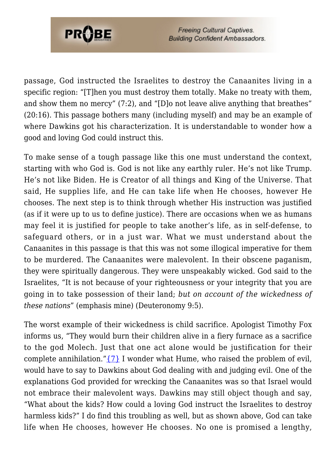

**Freeing Cultural Captives. Building Confident Ambassadors.** 

passage, God instructed the Israelites to destroy the Canaanites living in a specific region: "[T]hen you must destroy them totally. Make no treaty with them, and show them no mercy" (7:2), and "[D]o not leave alive anything that breathes" (20:16). This passage bothers many (including myself) and may be an example of where Dawkins got his characterization. It is understandable to wonder how a good and loving God could instruct this.

To make sense of a tough passage like this one must understand the context, starting with who God is. God is not like any earthly ruler. He's not like Trump. He's not like Biden. He is Creator of all things and King of the Universe. That said, He supplies life, and He can take life when He chooses, however He chooses. The next step is to think through whether His instruction was justified (as if it were up to us to define justice). There are occasions when we as humans may feel it is justified for people to take another's life, as in self-defense, to safeguard others, or in a just war. What we must understand about the Canaanites in this passage is that this was not some illogical imperative for them to be murdered. The Canaanites were malevolent. In their obscene paganism, they were spiritually dangerous. They were unspeakably wicked. God said to the Israelites, "It is not because of your righteousness or your integrity that you are going in to take possession of their land; *but on account of the wickedness of these nations*" (emphasis mine) (Deuteronomy 9:5).

The worst example of their wickedness is child sacrifice. Apologist Timothy Fox informs us, "They would burn their children alive in a fiery furnace as a sacrifice to the god Molech. Just that one act alone would be justification for their complete annihilation." $\{7\}$  I wonder what Hume, who raised the problem of evil, would have to say to Dawkins about God dealing with and judging evil. One of the explanations God provided for wrecking the Canaanites was so that Israel would not embrace their malevolent ways. Dawkins may still object though and say, "What about the kids? How could a loving God instruct the Israelites to destroy harmless kids?" I do find this troubling as well, but as shown above, God can take life when He chooses, however He chooses. No one is promised a lengthy,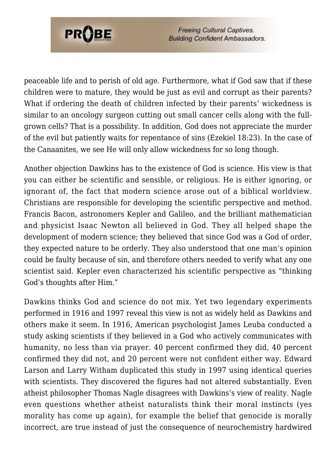

**Freeing Cultural Captives. Building Confident Ambassadors.** 

peaceable life and to perish of old age. Furthermore, what if God saw that if these children were to mature, they would be just as evil and corrupt as their parents? What if ordering the death of children infected by their parents' wickedness is similar to an oncology surgeon cutting out small cancer cells along with the fullgrown cells? That is a possibility. In addition, God does not appreciate the murder of the evil but patiently waits for repentance of sins (Ezekiel 18:23). In the case of the Canaanites, we see He will only allow wickedness for so long though.

Another objection Dawkins has to the existence of God is science. His view is that you can either be scientific and sensible, or religious. He is either ignoring, or ignorant of, the fact that modern science arose out of a biblical worldview. Christians are responsible for developing the scientific perspective and method. Francis Bacon, astronomers Kepler and Galileo, and the brilliant mathematician and physicist Isaac Newton all believed in God. They all helped shape the development of modern science; they believed that since God was a God of order, they expected nature to be orderly. They also understood that one man's opinion could be faulty because of sin, and therefore others needed to verify what any one scientist said. Kepler even characterized his scientific perspective as "thinking God's thoughts after Him."

Dawkins thinks God and science do not mix. Yet two legendary experiments performed in 1916 and 1997 reveal this view is not as widely held as Dawkins and others make it seem. In 1916, American psychologist James Leuba conducted a study asking scientists if they believed in a God who actively communicates with humanity, no less than via prayer. 40 percent confirmed they did, 40 percent confirmed they did not, and 20 percent were not confident either way. Edward Larson and Larry Witham duplicated this study in 1997 using identical queries with scientists. They discovered the figures had not altered substantially. Even atheist philosopher Thomas Nagle disagrees with Dawkins's view of reality. Nagle even questions whether atheist naturalists think their moral instincts (yes morality has come up again), for example the belief that genocide is morally incorrect, are true instead of just the consequence of neurochemistry hardwired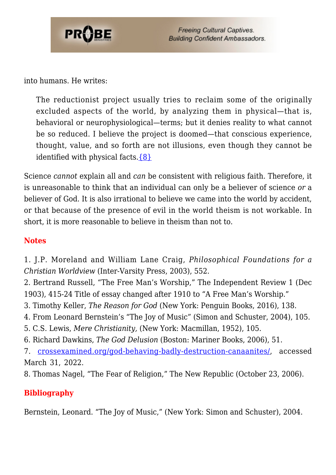

into humans. He writes:

The reductionist project usually tries to reclaim some of the originally excluded aspects of the world, by analyzing them in physical—that is, behavioral or neurophysiological—terms; but it denies reality to what cannot be so reduced. I believe the project is doomed—that conscious experience, thought, value, and so forth are not illusions, even though they cannot be identified with physical facts. ${8}$ 

Science *cannot* explain all and *can* be consistent with religious faith. Therefore, it is unreasonable to think that an individual can only be a believer of science *or* a believer of God. It is also irrational to believe we came into the world by accident, or that because of the presence of evil in the world theism is not workable. In short, it is more reasonable to believe in theism than not to.

#### **Notes**

<span id="page-6-0"></span>1. J.P. Moreland and William Lane Craig, *Philosophical Foundations for a Christian Worldview* (Inter-Varsity Press, 2003), 552.

2. Bertrand Russell, "The Free Man's Worship," The Independent Review 1 (Dec 1903), 415-24 Title of essay changed after 1910 to "A Free Man's Worship."

- <span id="page-6-1"></span>3. Timothy Keller, *The Reason for God* (New York: Penguin Books, 2016), 138.
- <span id="page-6-2"></span>4. From Leonard Bernstein's "The Joy of Music" (Simon and Schuster, 2004), 105.
- <span id="page-6-3"></span>5. C.S. Lewis, *Mere Christianity,* (New York: Macmillan, 1952), 105.
- <span id="page-6-4"></span>6. Richard Dawkins, *The God Delusion* (Boston: Mariner Books, 2006), 51.

<span id="page-6-5"></span>7. [crossexamined.org/god-behaving-badly-destruction-canaanites/,](https://crossexamined.org/god-behaving-badly-destruction-canaanites/) accessed March 31, 2022.

<span id="page-6-6"></span>8. Thomas Nagel, "The Fear of Religion," The New Republic (October 23, 2006).

### **Bibliography**

Bernstein, Leonard. "The Joy of Music," (New York: Simon and Schuster), 2004.